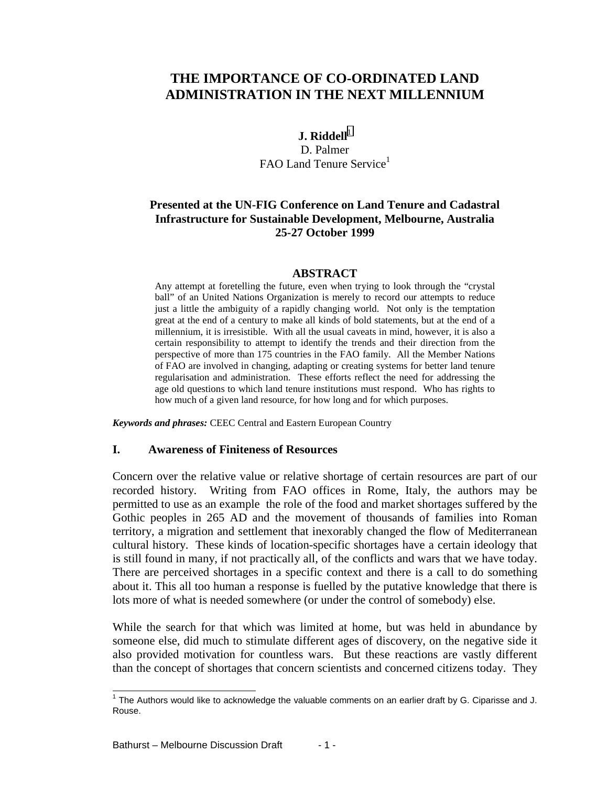# **THE IMPORTANCE OF CO-ORDINATED LAND ADMINISTRATION IN THE NEXT MILLENNIUM**

## **J. Riddell**<sup>1</sup> D. Palmer FAO Land Tenure Service<sup>1</sup>

## **Presented at the UN-FIG Conference on Land Tenure and Cadastral Infrastructure for Sustainable Development, Melbourne, Australia 25-27 October 1999**

### **ABSTRACT**

Any attempt at foretelling the future, even when trying to look through the "crystal ball" of an United Nations Organization is merely to record our attempts to reduce just a little the ambiguity of a rapidly changing world. Not only is the temptation great at the end of a century to make all kinds of bold statements, but at the end of a millennium, it is irresistible. With all the usual caveats in mind, however, it is also a certain responsibility to attempt to identify the trends and their direction from the perspective of more than 175 countries in the FAO family. All the Member Nations of FAO are involved in changing, adapting or creating systems for better land tenure regularisation and administration. These efforts reflect the need for addressing the age old questions to which land tenure institutions must respond. Who has rights to how much of a given land resource, for how long and for which purposes.

*Keywords and phrases:* CEEC Central and Eastern European Country

#### **I. Awareness of Finiteness of Resources**

Concern over the relative value or relative shortage of certain resources are part of our recorded history. Writing from FAO offices in Rome, Italy, the authors may be permitted to use as an example the role of the food and market shortages suffered by the Gothic peoples in 265 AD and the movement of thousands of families into Roman territory, a migration and settlement that inexorably changed the flow of Mediterranean cultural history. These kinds of location-specific shortages have a certain ideology that is still found in many, if not practically all, of the conflicts and wars that we have today. There are perceived shortages in a specific context and there is a call to do something about it. This all too human a response is fuelled by the putative knowledge that there is lots more of what is needed somewhere (or under the control of somebody) else.

While the search for that which was limited at home, but was held in abundance by someone else, did much to stimulate different ages of discovery, on the negative side it also provided motivation for countless wars. But these reactions are vastly different than the concept of shortages that concern scientists and concerned citizens today. They

 1 The Authors would like to acknowledge the valuable comments on an earlier draft by G. Ciparisse and J. Rouse.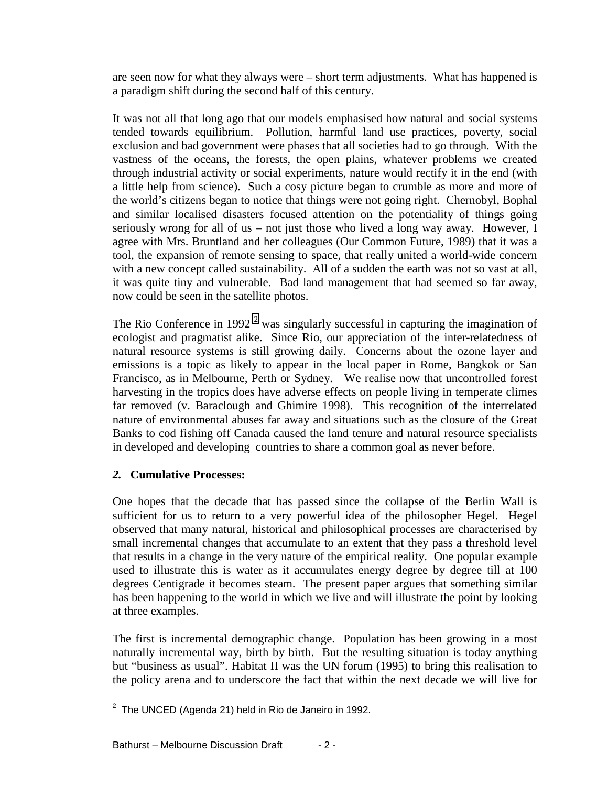are seen now for what they always were – short term adjustments. What has happened is a paradigm shift during the second half of this century.

It was not all that long ago that our models emphasised how natural and social systems tended towards equilibrium. Pollution, harmful land use practices, poverty, social exclusion and bad government were phases that all societies had to go through. With the vastness of the oceans, the forests, the open plains, whatever problems we created through industrial activity or social experiments, nature would rectify it in the end (with a little help from science). Such a cosy picture began to crumble as more and more of the world's citizens began to notice that things were not going right. Chernobyl, Bophal and similar localised disasters focused attention on the potentiality of things going seriously wrong for all of us – not just those who lived a long way away. However, I agree with Mrs. Bruntland and her colleagues (Our Common Future, 1989) that it was a tool, the expansion of remote sensing to space, that really united a world-wide concern with a new concept called sustainability. All of a sudden the earth was not so vast at all, it was quite tiny and vulnerable. Bad land management that had seemed so far away, now could be seen in the satellite photos.

The Rio Conference in 1992<sup>2</sup> was singularly successful in capturing the imagination of ecologist and pragmatist alike. Since Rio, our appreciation of the inter-relatedness of natural resource systems is still growing daily. Concerns about the ozone layer and emissions is a topic as likely to appear in the local paper in Rome, Bangkok or San Francisco, as in Melbourne, Perth or Sydney. We realise now that uncontrolled forest harvesting in the tropics does have adverse effects on people living in temperate climes far removed (v. Baraclough and Ghimire 1998). This recognition of the interrelated nature of environmental abuses far away and situations such as the closure of the Great Banks to cod fishing off Canada caused the land tenure and natural resource specialists in developed and developing countries to share a common goal as never before.

# *2.* **Cumulative Processes:**

One hopes that the decade that has passed since the collapse of the Berlin Wall is sufficient for us to return to a very powerful idea of the philosopher Hegel. Hegel observed that many natural, historical and philosophical processes are characterised by small incremental changes that accumulate to an extent that they pass a threshold level that results in a change in the very nature of the empirical reality. One popular example used to illustrate this is water as it accumulates energy degree by degree till at 100 degrees Centigrade it becomes steam. The present paper argues that something similar has been happening to the world in which we live and will illustrate the point by looking at three examples.

The first is incremental demographic change. Population has been growing in a most naturally incremental way, birth by birth. But the resulting situation is today anything but "business as usual". Habitat II was the UN forum (1995) to bring this realisation to the policy arena and to underscore the fact that within the next decade we will live for

 2 The UNCED (Agenda 21) held in Rio de Janeiro in 1992.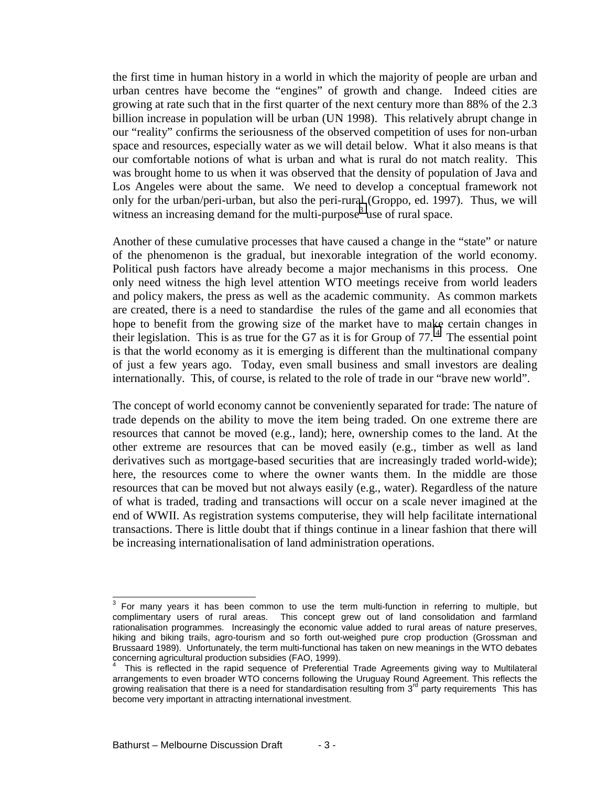the first time in human history in a world in which the majority of people are urban and urban centres have become the "engines" of growth and change. Indeed cities are growing at rate such that in the first quarter of the next century more than 88% of the 2.3 billion increase in population will be urban (UN 1998). This relatively abrupt change in our "reality" confirms the seriousness of the observed competition of uses for non-urban space and resources, especially water as we will detail below. What it also means is that our comfortable notions of what is urban and what is rural do not match reality. This was brought home to us when it was observed that the density of population of Java and Los Angeles were about the same. We need to develop a conceptual framework not only for the urban/peri-urban, but also the peri-rural (Groppo, ed. 1997). Thus, we will witness an increasing demand for the multi-purpose<sup>3</sup> use of rural space.

Another of these cumulative processes that have caused a change in the "state" or nature of the phenomenon is the gradual, but inexorable integration of the world economy. Political push factors have already become a major mechanisms in this process. One only need witness the high level attention WTO meetings receive from world leaders and policy makers, the press as well as the academic community. As common markets are created, there is a need to standardise the rules of the game and all economies that hope to benefit from the growing size of the market have to make certain changes in their legislation. This is as true for the G7 as it is for Group of  $77<sup>4</sup>$ . The essential point is that the world economy as it is emerging is different than the multinational company of just a few years ago. Today, even small business and small investors are dealing internationally. This, of course, is related to the role of trade in our "brave new world".

The concept of world economy cannot be conveniently separated for trade: The nature of trade depends on the ability to move the item being traded. On one extreme there are resources that cannot be moved (e.g., land); here, ownership comes to the land. At the other extreme are resources that can be moved easily (e.g., timber as well as land derivatives such as mortgage-based securities that are increasingly traded world-wide); here, the resources come to where the owner wants them. In the middle are those resources that can be moved but not always easily (e.g., water). Regardless of the nature of what is traded, trading and transactions will occur on a scale never imagined at the end of WWII. As registration systems computerise, they will help facilitate international transactions. There is little doubt that if things continue in a linear fashion that there will be increasing internationalisation of land administration operations.

<sup>&</sup>lt;sup>3</sup> For many years it has been common to use the term multi-function in referring to multiple, but complimentary users of rural areas. This concept grew out of land consolidation and farmland rationalisation programmes. Increasingly the economic value added to rural areas of nature preserves, hiking and biking trails, agro-tourism and so forth out-weighed pure crop production (Grossman and Brussaard 1989). Unfortunately, the term multi-functional has taken on new meanings in the WTO debates concerning agricultural production subsidies (FAO, 1999).

<sup>4</sup> This is reflected in the rapid sequence of Preferential Trade Agreements giving way to Multilateral arrangements to even broader WTO concerns following the Uruguay Round Agreement. This reflects the growing realisation that there is a need for standardisation resulting from  $3<sup>rd</sup>$  party requirements This has become very important in attracting international investment.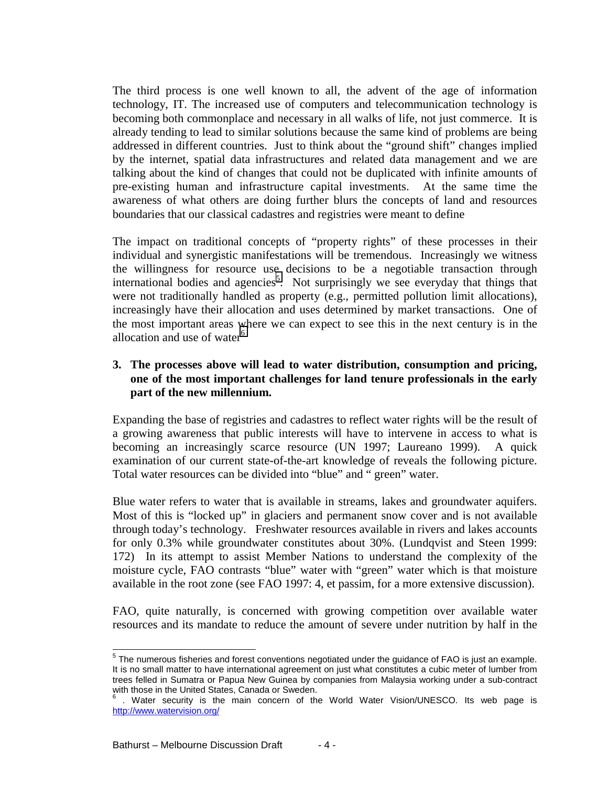The third process is one well known to all, the advent of the age of information technology, IT. The increased use of computers and telecommunication technology is becoming both commonplace and necessary in all walks of life, not just commerce. It is already tending to lead to similar solutions because the same kind of problems are being addressed in different countries. Just to think about the "ground shift" changes implied by the internet, spatial data infrastructures and related data management and we are talking about the kind of changes that could not be duplicated with infinite amounts of pre-existing human and infrastructure capital investments. At the same time the awareness of what others are doing further blurs the concepts of land and resources boundaries that our classical cadastres and registries were meant to define

The impact on traditional concepts of "property rights" of these processes in their individual and synergistic manifestations will be tremendous. Increasingly we witness the willingness for resource use decisions to be a negotiable transaction through international bodies and agencies<sup>5</sup>. Not surprisingly we see everyday that things that were not traditionally handled as property (e.g., permitted pollution limit allocations), increasingly have their allocation and uses determined by market transactions. One of the most important areas where we can expect to see this in the next century is in the allocation and use of water $<sup>6</sup>$ </sup>

## **3. The processes above will lead to water distribution, consumption and pricing, one of the most important challenges for land tenure professionals in the early part of the new millennium.**

Expanding the base of registries and cadastres to reflect water rights will be the result of a growing awareness that public interests will have to intervene in access to what is becoming an increasingly scarce resource (UN 1997; Laureano 1999). A quick examination of our current state-of-the-art knowledge of reveals the following picture. Total water resources can be divided into "blue" and " green" water.

Blue water refers to water that is available in streams, lakes and groundwater aquifers. Most of this is "locked up" in glaciers and permanent snow cover and is not available through today's technology. Freshwater resources available in rivers and lakes accounts for only 0.3% while groundwater constitutes about 30%. (Lundqvist and Steen 1999: 172) In its attempt to assist Member Nations to understand the complexity of the moisture cycle, FAO contrasts "blue" water with "green" water which is that moisture available in the root zone (see FAO 1997: 4, et passim, for a more extensive discussion).

FAO, quite naturally, is concerned with growing competition over available water resources and its mandate to reduce the amount of severe under nutrition by half in the

l  $<sup>5</sup>$  The numerous fisheries and forest conventions negotiated under the guidance of FAO is just an example.</sup> It is no small matter to have international agreement on just what constitutes a cubic meter of lumber from trees felled in Sumatra or Papua New Guinea by companies from Malaysia working under a sub-contract with those in the United States, Canada or Sweden.

<sup>6</sup> . Water security is the main concern of the World Water Vision/UNESCO. Its web page is http://www.watervision.org/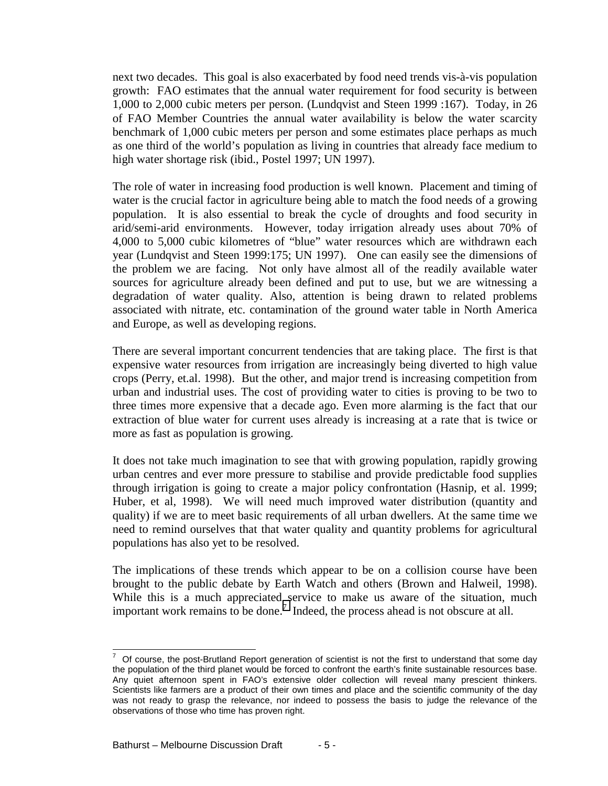next two decades. This goal is also exacerbated by food need trends vis-à-vis population growth: FAO estimates that the annual water requirement for food security is between 1,000 to 2,000 cubic meters per person. (Lundqvist and Steen 1999 :167). Today, in 26 of FAO Member Countries the annual water availability is below the water scarcity benchmark of 1,000 cubic meters per person and some estimates place perhaps as much as one third of the world's population as living in countries that already face medium to high water shortage risk (ibid., Postel 1997; UN 1997).

The role of water in increasing food production is well known. Placement and timing of water is the crucial factor in agriculture being able to match the food needs of a growing population. It is also essential to break the cycle of droughts and food security in arid/semi-arid environments. However, today irrigation already uses about 70% of 4,000 to 5,000 cubic kilometres of "blue" water resources which are withdrawn each year (Lundqvist and Steen 1999:175; UN 1997). One can easily see the dimensions of the problem we are facing. Not only have almost all of the readily available water sources for agriculture already been defined and put to use, but we are witnessing a degradation of water quality. Also, attention is being drawn to related problems associated with nitrate, etc. contamination of the ground water table in North America and Europe, as well as developing regions.

There are several important concurrent tendencies that are taking place. The first is that expensive water resources from irrigation are increasingly being diverted to high value crops (Perry, et.al. 1998). But the other, and major trend is increasing competition from urban and industrial uses. The cost of providing water to cities is proving to be two to three times more expensive that a decade ago. Even more alarming is the fact that our extraction of blue water for current uses already is increasing at a rate that is twice or more as fast as population is growing.

It does not take much imagination to see that with growing population, rapidly growing urban centres and ever more pressure to stabilise and provide predictable food supplies through irrigation is going to create a major policy confrontation (Hasnip, et al. 1999; Huber, et al, 1998). We will need much improved water distribution (quantity and quality) if we are to meet basic requirements of all urban dwellers. At the same time we need to remind ourselves that that water quality and quantity problems for agricultural populations has also yet to be resolved.

The implications of these trends which appear to be on a collision course have been brought to the public debate by Earth Watch and others (Brown and Halweil, 1998). While this is a much appreciated service to make us aware of the situation, much important work remains to be done.<sup>7</sup> Indeed, the process ahead is not obscure at all.

l

<sup>7</sup> Of course, the post-Brutland Report generation of scientist is not the first to understand that some day the population of the third planet would be forced to confront the earth's finite sustainable resources base. Any quiet afternoon spent in FAO's extensive older collection will reveal many prescient thinkers. Scientists like farmers are a product of their own times and place and the scientific community of the day was not ready to grasp the relevance, nor indeed to possess the basis to judge the relevance of the observations of those who time has proven right.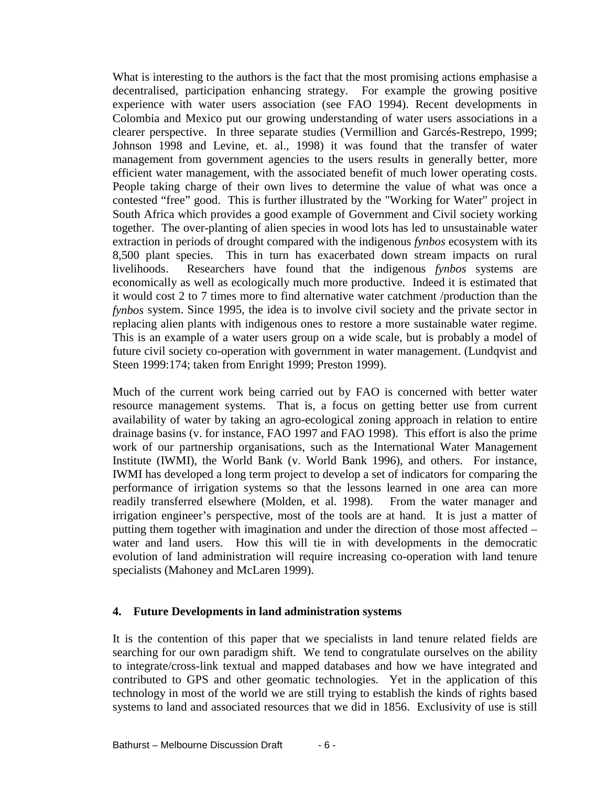What is interesting to the authors is the fact that the most promising actions emphasise a decentralised, participation enhancing strategy. For example the growing positive experience with water users association (see FAO 1994). Recent developments in Colombia and Mexico put our growing understanding of water users associations in a clearer perspective. In three separate studies (Vermillion and Garcés-Restrepo, 1999; Johnson 1998 and Levine, et. al., 1998) it was found that the transfer of water management from government agencies to the users results in generally better, more efficient water management, with the associated benefit of much lower operating costs. People taking charge of their own lives to determine the value of what was once a contested "free" good. This is further illustrated by the "Working for Water" project in South Africa which provides a good example of Government and Civil society working together. The over-planting of alien species in wood lots has led to unsustainable water extraction in periods of drought compared with the indigenous *fynbos* ecosystem with its 8,500 plant species. This in turn has exacerbated down stream impacts on rural livelihoods. Researchers have found that the indigenous *fynbos* systems are economically as well as ecologically much more productive. Indeed it is estimated that it would cost 2 to 7 times more to find alternative water catchment /production than the *fynbos* system. Since 1995, the idea is to involve civil society and the private sector in replacing alien plants with indigenous ones to restore a more sustainable water regime. This is an example of a water users group on a wide scale, but is probably a model of future civil society co-operation with government in water management. (Lundqvist and Steen 1999:174; taken from Enright 1999; Preston 1999).

Much of the current work being carried out by FAO is concerned with better water resource management systems. That is, a focus on getting better use from current availability of water by taking an agro-ecological zoning approach in relation to entire drainage basins (v. for instance, FAO 1997 and FAO 1998). This effort is also the prime work of our partnership organisations, such as the International Water Management Institute (IWMI), the World Bank (v. World Bank 1996), and others. For instance, IWMI has developed a long term project to develop a set of indicators for comparing the performance of irrigation systems so that the lessons learned in one area can more readily transferred elsewhere (Molden, et al. 1998). From the water manager and irrigation engineer's perspective, most of the tools are at hand. It is just a matter of putting them together with imagination and under the direction of those most affected – water and land users. How this will tie in with developments in the democratic evolution of land administration will require increasing co-operation with land tenure specialists (Mahoney and McLaren 1999).

## **4. Future Developments in land administration systems**

It is the contention of this paper that we specialists in land tenure related fields are searching for our own paradigm shift. We tend to congratulate ourselves on the ability to integrate/cross-link textual and mapped databases and how we have integrated and contributed to GPS and other geomatic technologies. Yet in the application of this technology in most of the world we are still trying to establish the kinds of rights based systems to land and associated resources that we did in 1856. Exclusivity of use is still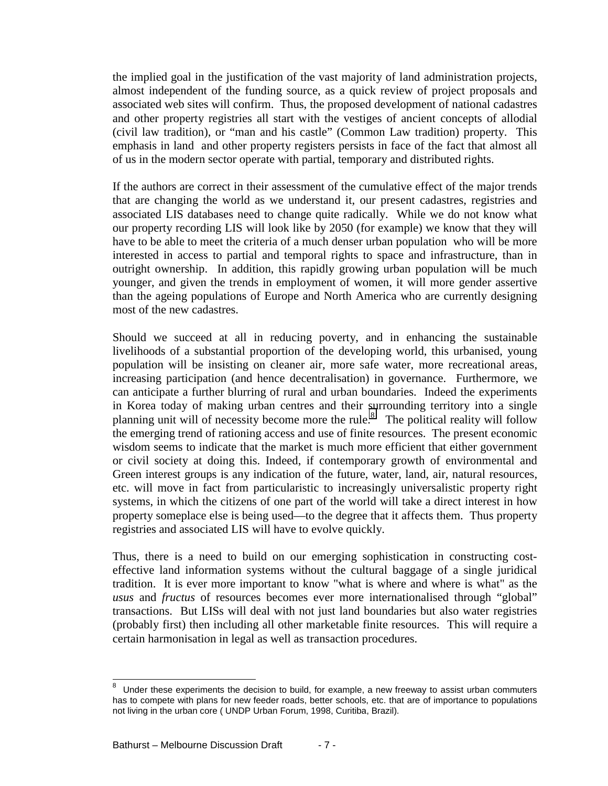the implied goal in the justification of the vast majority of land administration projects, almost independent of the funding source, as a quick review of project proposals and associated web sites will confirm. Thus, the proposed development of national cadastres and other property registries all start with the vestiges of ancient concepts of allodial (civil law tradition), or "man and his castle" (Common Law tradition) property. This emphasis in land and other property registers persists in face of the fact that almost all of us in the modern sector operate with partial, temporary and distributed rights.

If the authors are correct in their assessment of the cumulative effect of the major trends that are changing the world as we understand it, our present cadastres, registries and associated LIS databases need to change quite radically. While we do not know what our property recording LIS will look like by 2050 (for example) we know that they will have to be able to meet the criteria of a much denser urban population who will be more interested in access to partial and temporal rights to space and infrastructure, than in outright ownership. In addition, this rapidly growing urban population will be much younger, and given the trends in employment of women, it will more gender assertive than the ageing populations of Europe and North America who are currently designing most of the new cadastres.

Should we succeed at all in reducing poverty, and in enhancing the sustainable livelihoods of a substantial proportion of the developing world, this urbanised, young population will be insisting on cleaner air, more safe water, more recreational areas, increasing participation (and hence decentralisation) in governance. Furthermore, we can anticipate a further blurring of rural and urban boundaries. Indeed the experiments in Korea today of making urban centres and their surrounding territory into a single planning unit will of necessity become more the rule.<sup>8</sup> The political reality will follow the emerging trend of rationing access and use of finite resources. The present economic wisdom seems to indicate that the market is much more efficient that either government or civil society at doing this. Indeed, if contemporary growth of environmental and Green interest groups is any indication of the future, water, land, air, natural resources, etc. will move in fact from particularistic to increasingly universalistic property right systems, in which the citizens of one part of the world will take a direct interest in how property someplace else is being used—to the degree that it affects them. Thus property registries and associated LIS will have to evolve quickly.

Thus, there is a need to build on our emerging sophistication in constructing costeffective land information systems without the cultural baggage of a single juridical tradition. It is ever more important to know "what is where and where is what" as the *usus* and *fructus* of resources becomes ever more internationalised through "global" transactions. But LISs will deal with not just land boundaries but also water registries (probably first) then including all other marketable finite resources. This will require a certain harmonisation in legal as well as transaction procedures.

 $\overline{a}$ 

<sup>8</sup> Under these experiments the decision to build, for example, a new freeway to assist urban commuters has to compete with plans for new feeder roads, better schools, etc. that are of importance to populations not living in the urban core ( UNDP Urban Forum, 1998, Curitiba, Brazil).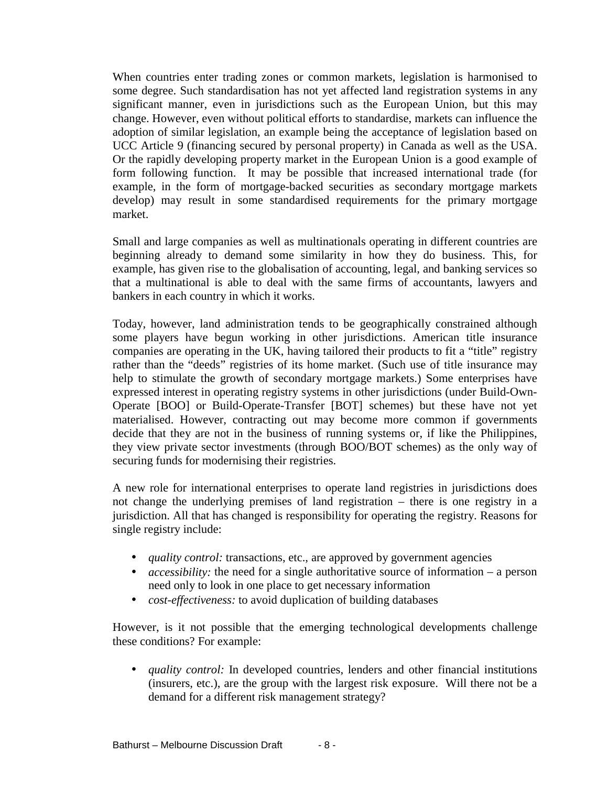When countries enter trading zones or common markets, legislation is harmonised to some degree. Such standardisation has not yet affected land registration systems in any significant manner, even in jurisdictions such as the European Union, but this may change. However, even without political efforts to standardise, markets can influence the adoption of similar legislation, an example being the acceptance of legislation based on UCC Article 9 (financing secured by personal property) in Canada as well as the USA. Or the rapidly developing property market in the European Union is a good example of form following function. It may be possible that increased international trade (for example, in the form of mortgage-backed securities as secondary mortgage markets develop) may result in some standardised requirements for the primary mortgage market.

Small and large companies as well as multinationals operating in different countries are beginning already to demand some similarity in how they do business. This, for example, has given rise to the globalisation of accounting, legal, and banking services so that a multinational is able to deal with the same firms of accountants, lawyers and bankers in each country in which it works.

Today, however, land administration tends to be geographically constrained although some players have begun working in other jurisdictions. American title insurance companies are operating in the UK, having tailored their products to fit a "title" registry rather than the "deeds" registries of its home market. (Such use of title insurance may help to stimulate the growth of secondary mortgage markets.) Some enterprises have expressed interest in operating registry systems in other jurisdictions (under Build-Own-Operate [BOO] or Build-Operate-Transfer [BOT] schemes) but these have not yet materialised. However, contracting out may become more common if governments decide that they are not in the business of running systems or, if like the Philippines, they view private sector investments (through BOO/BOT schemes) as the only way of securing funds for modernising their registries.

A new role for international enterprises to operate land registries in jurisdictions does not change the underlying premises of land registration – there is one registry in a jurisdiction. All that has changed is responsibility for operating the registry. Reasons for single registry include:

- *quality control:* transactions, etc., are approved by government agencies
- *accessibility*: the need for a single authoritative source of information a person need only to look in one place to get necessary information
- *cost-effectiveness:* to avoid duplication of building databases

However, is it not possible that the emerging technological developments challenge these conditions? For example:

• *quality control:* In developed countries, lenders and other financial institutions (insurers, etc.), are the group with the largest risk exposure. Will there not be a demand for a different risk management strategy?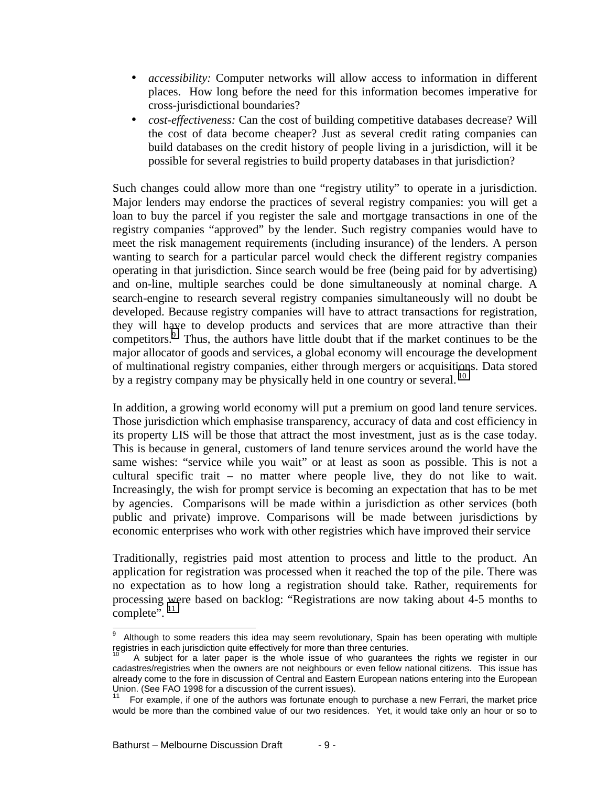- *accessibility:* Computer networks will allow access to information in different places. How long before the need for this information becomes imperative for cross-jurisdictional boundaries?
- *cost-effectiveness:* Can the cost of building competitive databases decrease? Will the cost of data become cheaper? Just as several credit rating companies can build databases on the credit history of people living in a jurisdiction, will it be possible for several registries to build property databases in that jurisdiction?

Such changes could allow more than one "registry utility" to operate in a jurisdiction. Major lenders may endorse the practices of several registry companies: you will get a loan to buy the parcel if you register the sale and mortgage transactions in one of the registry companies "approved" by the lender. Such registry companies would have to meet the risk management requirements (including insurance) of the lenders. A person wanting to search for a particular parcel would check the different registry companies operating in that jurisdiction. Since search would be free (being paid for by advertising) and on-line, multiple searches could be done simultaneously at nominal charge. A search-engine to research several registry companies simultaneously will no doubt be developed. Because registry companies will have to attract transactions for registration, they will have to develop products and services that are more attractive than their competitors.<sup>9</sup> Thus, the authors have little doubt that if the market continues to be the major allocator of goods and services, a global economy will encourage the development of multinational registry companies, either through mergers or acquisitions. Data stored by a registry company may be physically held in one country or several. <sup>10</sup>

In addition, a growing world economy will put a premium on good land tenure services. Those jurisdiction which emphasise transparency, accuracy of data and cost efficiency in its property LIS will be those that attract the most investment, just as is the case today. This is because in general, customers of land tenure services around the world have the same wishes: "service while you wait" or at least as soon as possible. This is not a cultural specific trait – no matter where people live, they do not like to wait. Increasingly, the wish for prompt service is becoming an expectation that has to be met by agencies. Comparisons will be made within a jurisdiction as other services (both public and private) improve. Comparisons will be made between jurisdictions by economic enterprises who work with other registries which have improved their service

Traditionally, registries paid most attention to process and little to the product. An application for registration was processed when it reached the top of the pile. There was no expectation as to how long a registration should take. Rather, requirements for processing were based on backlog: "Registrations are now taking about 4-5 months to complete". <sup>11</sup>

 $\overline{\phantom{a}}$ 9 Although to some readers this idea may seem revolutionary, Spain has been operating with multiple registries in each jurisdiction quite effectively for more than three centuries.

A subject for a later paper is the whole issue of who quarantees the rights we register in our cadastres/registries when the owners are not neighbours or even fellow national citizens. This issue has already come to the fore in discussion of Central and Eastern European nations entering into the European Union. (See FAO 1998 for a discussion of the current issues).

For example, if one of the authors was fortunate enough to purchase a new Ferrari, the market price would be more than the combined value of our two residences. Yet, it would take only an hour or so to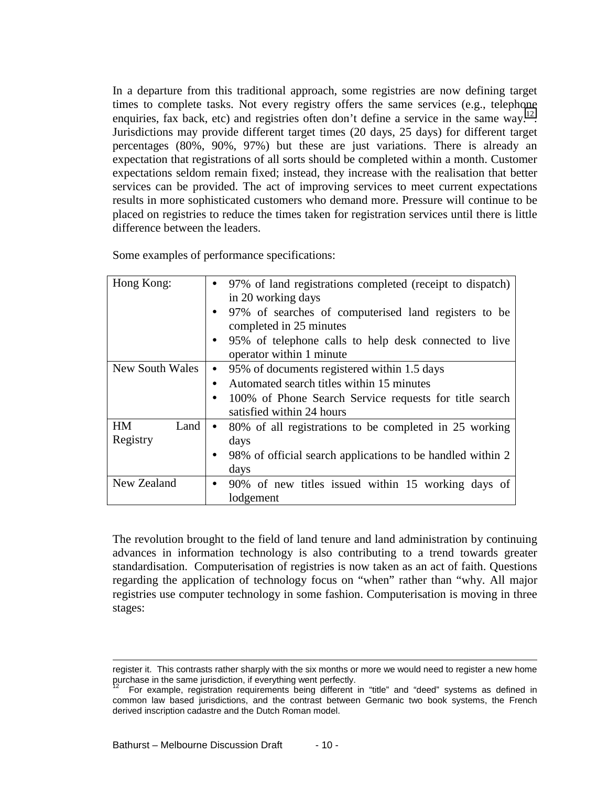In a departure from this traditional approach, some registries are now defining target times to complete tasks. Not every registry offers the same services (e.g., telephone enquiries, fax back, etc) and registries often don't define a service in the same way.<sup>12</sup>. Jurisdictions may provide different target times (20 days, 25 days) for different target percentages (80%, 90%, 97%) but these are just variations. There is already an expectation that registrations of all sorts should be completed within a month. Customer expectations seldom remain fixed; instead, they increase with the realisation that better services can be provided. The act of improving services to meet current expectations results in more sophisticated customers who demand more. Pressure will continue to be placed on registries to reduce the times taken for registration services until there is little difference between the leaders.

| Some examples of performance specifications: |  |
|----------------------------------------------|--|
|----------------------------------------------|--|

| Hong Kong:             | 97% of land registrations completed (receipt to dispatch)                                      |
|------------------------|------------------------------------------------------------------------------------------------|
|                        | in 20 working days<br>97% of searches of computerised land registers to be<br>$\bullet$        |
|                        | completed in 25 minutes                                                                        |
|                        | 95% of telephone calls to help desk connected to live<br>$\bullet$<br>operator within 1 minute |
| <b>New South Wales</b> | 95% of documents registered within 1.5 days<br>$\bullet$                                       |
|                        | Automated search titles within 15 minutes<br>$\bullet$                                         |
|                        | 100% of Phone Search Service requests for title search<br>$\bullet$                            |
|                        | satisfied within 24 hours                                                                      |
| <b>HM</b><br>Land      | 80% of all registrations to be completed in 25 working<br>$\bullet$                            |
| Registry               | days                                                                                           |
|                        | 98% of official search applications to be handled within 2<br>$\bullet$                        |
|                        | days                                                                                           |
| New Zealand            | 90% of new titles issued within 15 working days of                                             |
|                        | lodgement                                                                                      |

The revolution brought to the field of land tenure and land administration by continuing advances in information technology is also contributing to a trend towards greater standardisation. Computerisation of registries is now taken as an act of faith. Questions regarding the application of technology focus on "when" rather than "why. All major registries use computer technology in some fashion. Computerisation is moving in three stages:

l

register it. This contrasts rather sharply with the six months or more we would need to register a new home purchase in the same jurisdiction, if everything went perfectly.

For example, registration requirements being different in "title" and "deed" systems as defined in common law based jurisdictions, and the contrast between Germanic two book systems, the French derived inscription cadastre and the Dutch Roman model.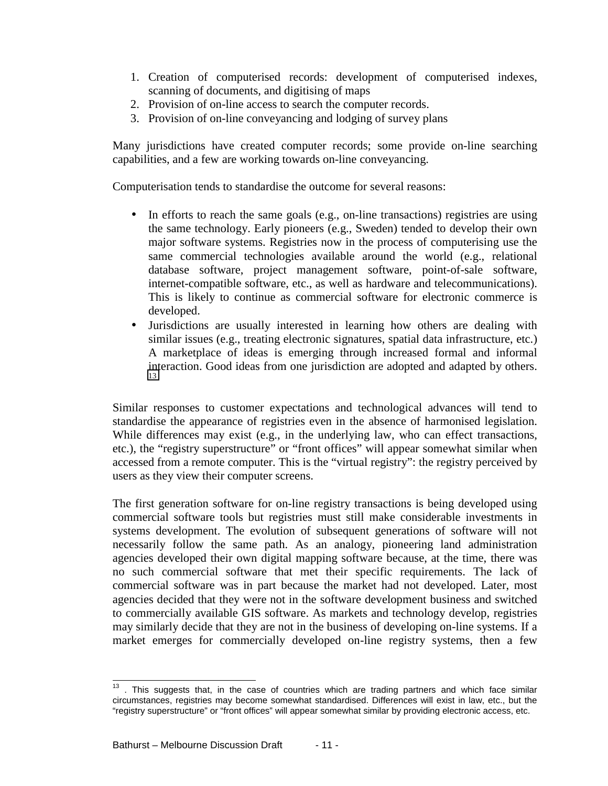- 1. Creation of computerised records: development of computerised indexes, scanning of documents, and digitising of maps
- 2. Provision of on-line access to search the computer records.
- 3. Provision of on-line conveyancing and lodging of survey plans

Many jurisdictions have created computer records; some provide on-line searching capabilities, and a few are working towards on-line conveyancing.

Computerisation tends to standardise the outcome for several reasons:

- In efforts to reach the same goals (e.g., on-line transactions) registries are using the same technology. Early pioneers (e.g., Sweden) tended to develop their own major software systems. Registries now in the process of computerising use the same commercial technologies available around the world (e.g., relational database software, project management software, point-of-sale software, internet-compatible software, etc., as well as hardware and telecommunications). This is likely to continue as commercial software for electronic commerce is developed.
- Jurisdictions are usually interested in learning how others are dealing with similar issues (e.g., treating electronic signatures, spatial data infrastructure, etc.) A marketplace of ideas is emerging through increased formal and informal interaction. Good ideas from one jurisdiction are adopted and adapted by others. 13

Similar responses to customer expectations and technological advances will tend to standardise the appearance of registries even in the absence of harmonised legislation. While differences may exist (e.g., in the underlying law, who can effect transactions, etc.), the "registry superstructure" or "front offices" will appear somewhat similar when accessed from a remote computer. This is the "virtual registry": the registry perceived by users as they view their computer screens.

The first generation software for on-line registry transactions is being developed using commercial software tools but registries must still make considerable investments in systems development. The evolution of subsequent generations of software will not necessarily follow the same path. As an analogy, pioneering land administration agencies developed their own digital mapping software because, at the time, there was no such commercial software that met their specific requirements. The lack of commercial software was in part because the market had not developed. Later, most agencies decided that they were not in the software development business and switched to commercially available GIS software. As markets and technology develop, registries may similarly decide that they are not in the business of developing on-line systems. If a market emerges for commercially developed on-line registry systems, then a few

 $\overline{\phantom{a}}$ 

 $13$  . This suggests that, in the case of countries which are trading partners and which face similar circumstances, registries may become somewhat standardised. Differences will exist in law, etc., but the "registry superstructure" or "front offices" will appear somewhat similar by providing electronic access, etc.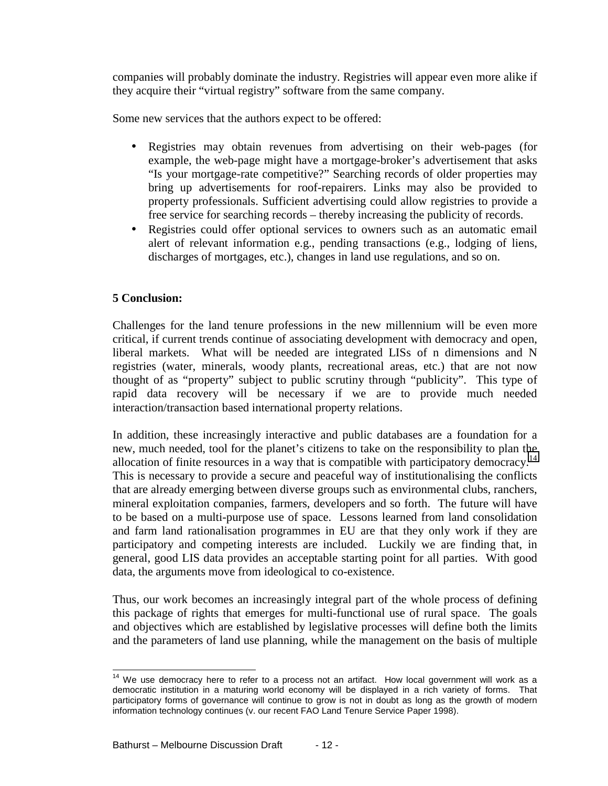companies will probably dominate the industry. Registries will appear even more alike if they acquire their "virtual registry" software from the same company.

Some new services that the authors expect to be offered:

- Registries may obtain revenues from advertising on their web-pages (for example, the web-page might have a mortgage-broker's advertisement that asks "Is your mortgage-rate competitive?" Searching records of older properties may bring up advertisements for roof-repairers. Links may also be provided to property professionals. Sufficient advertising could allow registries to provide a free service for searching records – thereby increasing the publicity of records.
- Registries could offer optional services to owners such as an automatic email alert of relevant information e.g., pending transactions (e.g., lodging of liens, discharges of mortgages, etc.), changes in land use regulations, and so on.

## **5 Conclusion:**

Challenges for the land tenure professions in the new millennium will be even more critical, if current trends continue of associating development with democracy and open, liberal markets. What will be needed are integrated LISs of n dimensions and N registries (water, minerals, woody plants, recreational areas, etc.) that are not now thought of as "property" subject to public scrutiny through "publicity". This type of rapid data recovery will be necessary if we are to provide much needed interaction/transaction based international property relations.

In addition, these increasingly interactive and public databases are a foundation for a new, much needed, tool for the planet's citizens to take on the responsibility to plan the allocation of finite resources in a way that is compatible with participatory democracy.<sup>14</sup> This is necessary to provide a secure and peaceful way of institutionalising the conflicts that are already emerging between diverse groups such as environmental clubs, ranchers, mineral exploitation companies, farmers, developers and so forth. The future will have to be based on a multi-purpose use of space. Lessons learned from land consolidation and farm land rationalisation programmes in EU are that they only work if they are participatory and competing interests are included. Luckily we are finding that, in general, good LIS data provides an acceptable starting point for all parties. With good data, the arguments move from ideological to co-existence.

Thus, our work becomes an increasingly integral part of the whole process of defining this package of rights that emerges for multi-functional use of rural space. The goals and objectives which are established by legislative processes will define both the limits and the parameters of land use planning, while the management on the basis of multiple

 $\overline{\phantom{a}}$  $14$  We use democracy here to refer to a process not an artifact. How local government will work as a democratic institution in a maturing world economy will be displayed in a rich variety of forms. That participatory forms of governance will continue to grow is not in doubt as long as the growth of modern information technology continues (v. our recent FAO Land Tenure Service Paper 1998).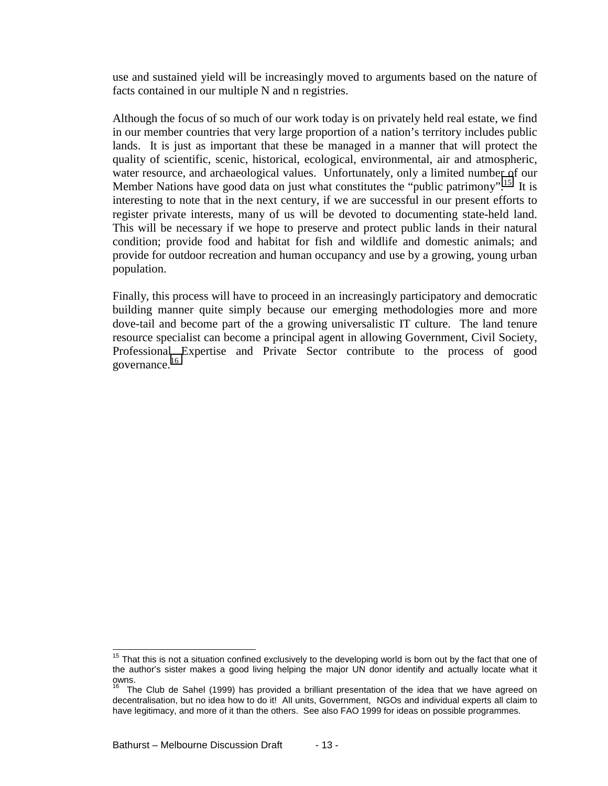use and sustained yield will be increasingly moved to arguments based on the nature of facts contained in our multiple N and n registries.

Although the focus of so much of our work today is on privately held real estate, we find in our member countries that very large proportion of a nation's territory includes public lands. It is just as important that these be managed in a manner that will protect the quality of scientific, scenic, historical, ecological, environmental, air and atmospheric, water resource, and archaeological values. Unfortunately, only a limited number of our Member Nations have good data on just what constitutes the "public patrimony".<sup>15</sup> It is interesting to note that in the next century, if we are successful in our present efforts to register private interests, many of us will be devoted to documenting state-held land. This will be necessary if we hope to preserve and protect public lands in their natural condition; provide food and habitat for fish and wildlife and domestic animals; and provide for outdoor recreation and human occupancy and use by a growing, young urban population.

Finally, this process will have to proceed in an increasingly participatory and democratic building manner quite simply because our emerging methodologies more and more dove-tail and become part of the a growing universalistic IT culture. The land tenure resource specialist can become a principal agent in allowing Government, Civil Society, Professional Expertise and Private Sector contribute to the process of good governance.<sup>16</sup>

 $\overline{\phantom{a}}$ 

 $15$  That this is not a situation confined exclusively to the developing world is born out by the fact that one of the author's sister makes a good living helping the major UN donor identify and actually locate what it owns.

The Club de Sahel (1999) has provided a brilliant presentation of the idea that we have agreed on decentralisation, but no idea how to do it! All units, Government, NGOs and individual experts all claim to have legitimacy, and more of it than the others. See also FAO 1999 for ideas on possible programmes.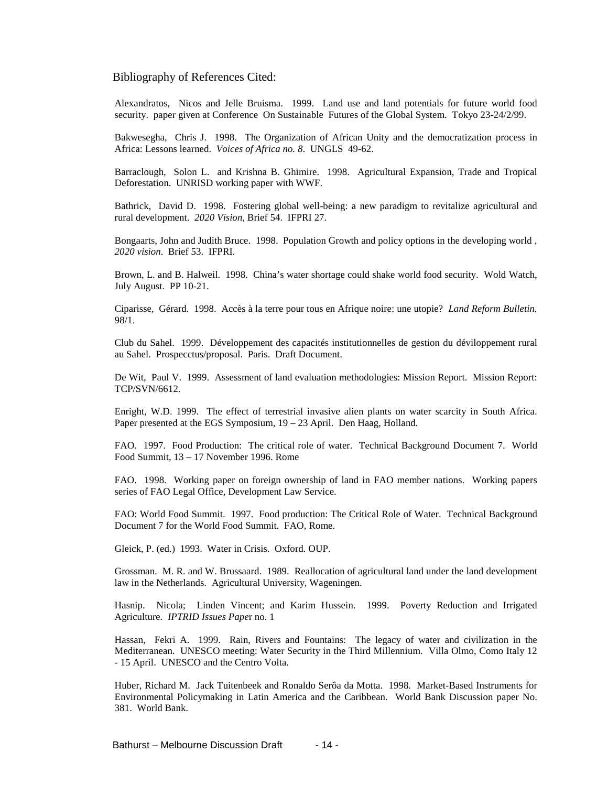#### Bibliography of References Cited:

Alexandratos, Nicos and Jelle Bruisma. 1999. Land use and land potentials for future world food security. paper given at Conference On Sustainable Futures of the Global System. Tokyo 23-24/2/99.

Bakwesegha, Chris J. 1998. The Organization of African Unity and the democratization process in Africa: Lessons learned. *Voices of Africa no. 8*. UNGLS 49-62.

Barraclough, Solon L. and Krishna B. Ghimire. 1998. Agricultural Expansion, Trade and Tropical Deforestation. UNRISD working paper with WWF.

Bathrick, David D. 1998. Fostering global well-being: a new paradigm to revitalize agricultural and rural development. *2020 Vision*, Brief 54. IFPRI 27.

Bongaarts, John and Judith Bruce. 1998. Population Growth and policy options in the developing world , *2020 vision*. Brief 53. IFPRI.

Brown, L. and B. Halweil. 1998. China's water shortage could shake world food security. Wold Watch, July August. PP 10-21.

Ciparisse, Gérard. 1998. Accès à la terre pour tous en Afrique noire: une utopie? *Land Reform Bulletin.* 98/1.

Club du Sahel. 1999. Développement des capacités institutionnelles de gestion du déviloppement rural au Sahel. Prospecctus/proposal. Paris. Draft Document.

De Wit, Paul V. 1999. Assessment of land evaluation methodologies: Mission Report. Mission Report: TCP/SVN/6612.

Enright, W.D. 1999. The effect of terrestrial invasive alien plants on water scarcity in South Africa. Paper presented at the EGS Symposium, 19 – 23 April. Den Haag, Holland.

FAO. 1997. Food Production: The critical role of water. Technical Background Document 7. World Food Summit, 13 – 17 November 1996. Rome

FAO. 1998. Working paper on foreign ownership of land in FAO member nations. Working papers series of FAO Legal Office, Development Law Service.

FAO: World Food Summit. 1997. Food production: The Critical Role of Water. Technical Background Document 7 for the World Food Summit. FAO, Rome.

Gleick, P. (ed.) 1993. Water in Crisis. Oxford. OUP.

Grossman. M. R. and W. Brussaard. 1989. Reallocation of agricultural land under the land development law in the Netherlands. Agricultural University, Wageningen.

Hasnip. Nicola; Linden Vincent; and Karim Hussein. 1999. Poverty Reduction and Irrigated Agriculture*. IPTRID Issues Pape*r no. 1

Hassan, Fekri A. 1999. Rain, Rivers and Fountains: The legacy of water and civilization in the Mediterranean. UNESCO meeting: Water Security in the Third Millennium. Villa Olmo, Como Italy 12 - 15 April. UNESCO and the Centro Volta.

Huber, Richard M. Jack Tuitenbeek and Ronaldo Serôa da Motta. 1998. Market-Based Instruments for Environmental Policymaking in Latin America and the Caribbean. World Bank Discussion paper No. 381. World Bank.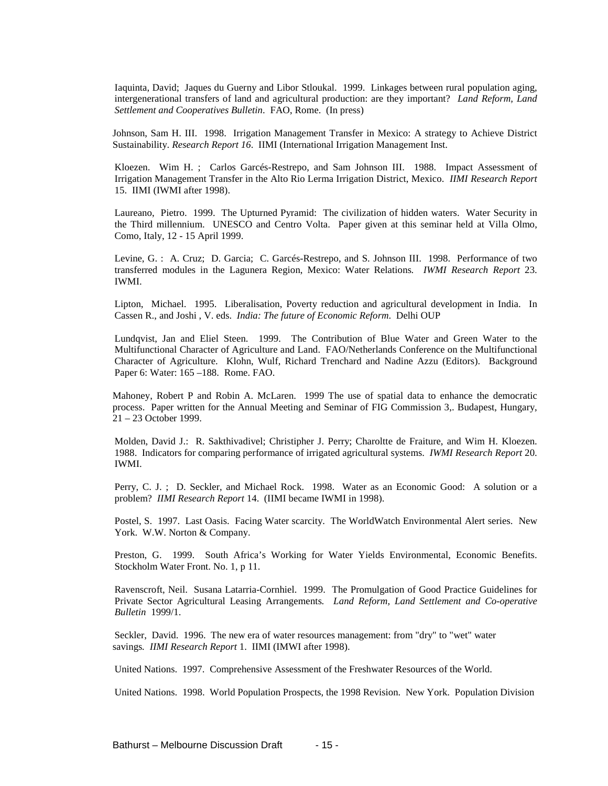Iaquinta, David; Jaques du Guerny and Libor Stloukal. 1999. Linkages between rural population aging, intergenerational transfers of land and agricultural production: are they important? *Land Reform, Land Settlement and Cooperatives Bulletin*. FAO, Rome. (In press)

Johnson, Sam H. III. 1998. Irrigation Management Transfer in Mexico: A strategy to Achieve District Sustainability. *Research Report 16*. IIMI (International Irrigation Management Inst.

Kloezen. Wim H. ; Carlos Garcés-Restrepo, and Sam Johnson III. 1988. Impact Assessment of Irrigation Management Transfer in the Alto Rio Lerma Irrigation District, Mexico. *IIMI Research Report* 15. IIMI (IWMI after 1998).

Laureano, Pietro. 1999. The Upturned Pyramid: The civilization of hidden waters. Water Security in the Third millennium. UNESCO and Centro Volta. Paper given at this seminar held at Villa Olmo, Como, Italy, 12 - 15 April 1999.

Levine, G. : A. Cruz; D. Garcia; C. Garcés-Restrepo, and S. Johnson III. 1998. Performance of two transferred modules in the Lagunera Region, Mexico: Water Relations*. IWMI Research Report* 23. IWMI.

Lipton, Michael. 1995. Liberalisation, Poverty reduction and agricultural development in India. In Cassen R., and Joshi , V. eds. *India: The future of Economic Reform*. Delhi OUP

Lundqvist, Jan and Eliel Steen. 1999. The Contribution of Blue Water and Green Water to the Multifunctional Character of Agriculture and Land. FAO/Netherlands Conference on the Multifunctional Character of Agriculture. Klohn, Wulf, Richard Trenchard and Nadine Azzu (Editors). Background Paper 6: Water: 165 –188. Rome. FAO.

Mahoney, Robert P and Robin A. McLaren. 1999 The use of spatial data to enhance the democratic process. Paper written for the Annual Meeting and Seminar of FIG Commission 3,. Budapest, Hungary, 21 – 23 October 1999.

Molden, David J.: R. Sakthivadivel; Christipher J. Perry; Charoltte de Fraiture, and Wim H. Kloezen. 1988. Indicators for comparing performance of irrigated agricultural systems. *IWMI Research Report* 20. IWMI.

Perry, C. J. ; D. Seckler, and Michael Rock. 1998. Water as an Economic Good: A solution or a problem? *IIMI Research Report* 14. (IIMI became IWMI in 1998).

Postel, S. 1997. Last Oasis. Facing Water scarcity. The WorldWatch Environmental Alert series. New York. W.W. Norton & Company.

Preston, G. 1999. South Africa's Working for Water Yields Environmental, Economic Benefits. Stockholm Water Front. No. 1, p 11.

Ravenscroft, Neil. Susana Latarria-Cornhiel. 1999. The Promulgation of Good Practice Guidelines for Private Sector Agricultural Leasing Arrangements*. Land Reform, Land Settlement and Co-operative Bulletin* 1999/1.

Seckler, David. 1996. The new era of water resources management: from "dry" to "wet" water savings*. IIMI Research Report* 1. IIMI (IMWI after 1998).

United Nations. 1997. Comprehensive Assessment of the Freshwater Resources of the World.

United Nations. 1998. World Population Prospects, the 1998 Revision. New York. Population Division